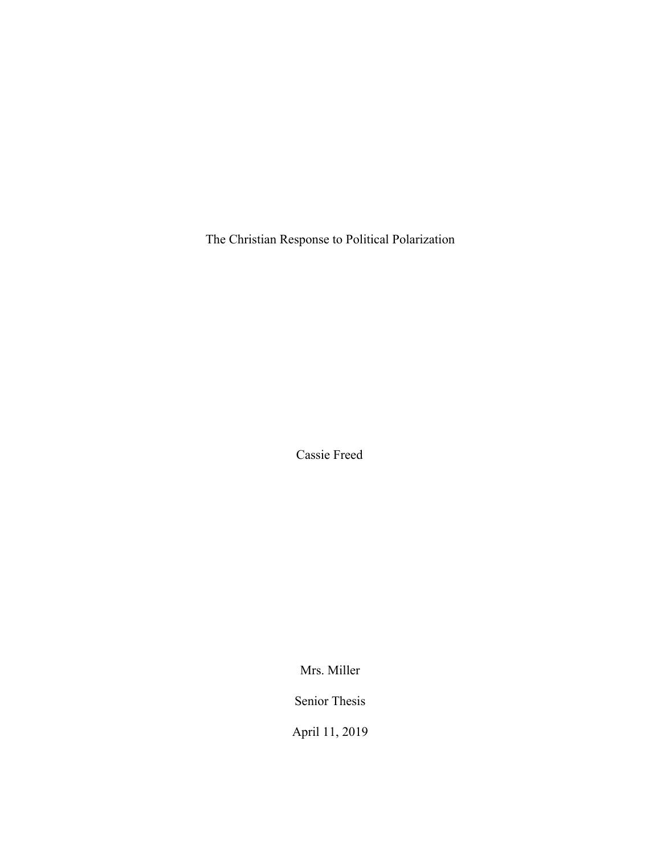The Christian Response to Political Polarization

Cassie Freed

Mrs. Miller

Senior Thesis

April 11, 2019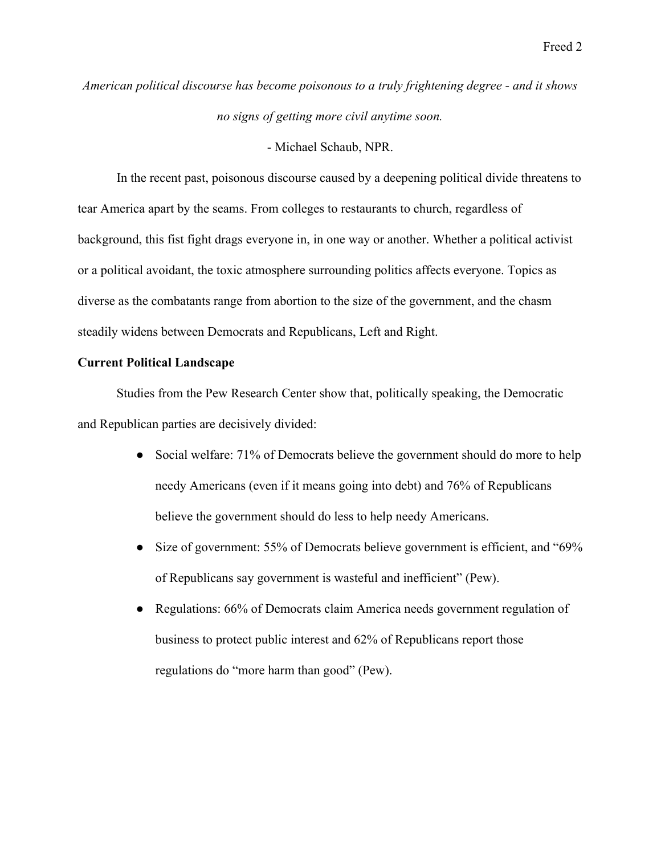# *American political discourse has become poisonous to a truly frightening degree - and it shows no signs of getting more civil anytime soon.*

- Michael Schaub, NPR.

In the recent past, poisonous discourse caused by a deepening political divide threatens to tear America apart by the seams. From colleges to restaurants to church, regardless of background, this fist fight drags everyone in, in one way or another. Whether a political activist or a political avoidant, the toxic atmosphere surrounding politics affects everyone. Topics as diverse as the combatants range from abortion to the size of the government, and the chasm steadily widens between Democrats and Republicans, Left and Right.

## **Current Political Landscape**

Studies from the Pew Research Center show that, politically speaking, the Democratic and Republican parties are decisively divided:

- Social welfare: 71% of Democrats believe the government should do more to help needy Americans (even if it means going into debt) and 76% of Republicans believe the government should do less to help needy Americans.
- Size of government: 55% of Democrats believe government is efficient, and "69% of Republicans say government is wasteful and inefficient" (Pew).
- Regulations: 66% of Democrats claim America needs government regulation of business to protect public interest and 62% of Republicans report those regulations do "more harm than good" (Pew).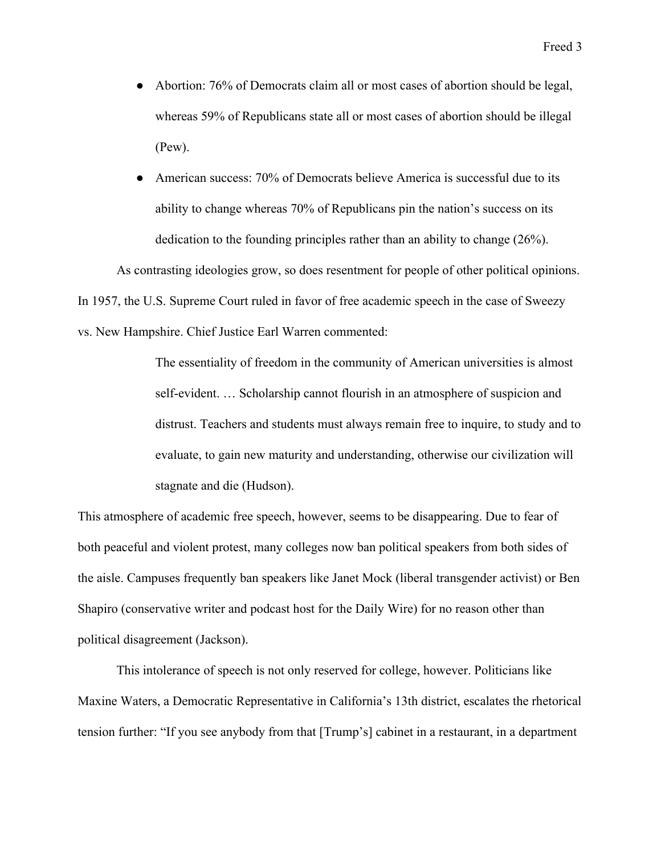- Abortion: 76% of Democrats claim all or most cases of abortion should be legal, whereas 59% of Republicans state all or most cases of abortion should be illegal (Pew).
- American success: 70% of Democrats believe America is successful due to its ability to change whereas 70% of Republicans pin the nation's success on its dedication to the founding principles rather than an ability to change (26%).

As contrasting ideologies grow, so does resentment for people of other political opinions. In 1957, the U.S. Supreme Court ruled in favor of free academic speech in the case of Sweezy vs. New Hampshire. Chief Justice Earl Warren commented:

> The essentiality of freedom in the community of American universities is almost self-evident. … Scholarship cannot flourish in an atmosphere of suspicion and distrust. Teachers and students must always remain free to inquire, to study and to evaluate, to gain new maturity and understanding, otherwise our civilization will stagnate and die (Hudson).

This atmosphere of academic free speech, however, seems to be disappearing. Due to fear of both peaceful and violent protest, many colleges now ban political speakers from both sides of the aisle. Campuses frequently ban speakers like Janet Mock (liberal transgender activist) or Ben Shapiro (conservative writer and podcast host for the Daily Wire) for no reason other than political disagreement (Jackson).

This intolerance of speech is not only reserved for college, however. Politicians like Maxine Waters, a Democratic Representative in California's 13th district, escalates the rhetorical tension further: "If you see anybody from that [Trump's] cabinet in a restaurant, in a department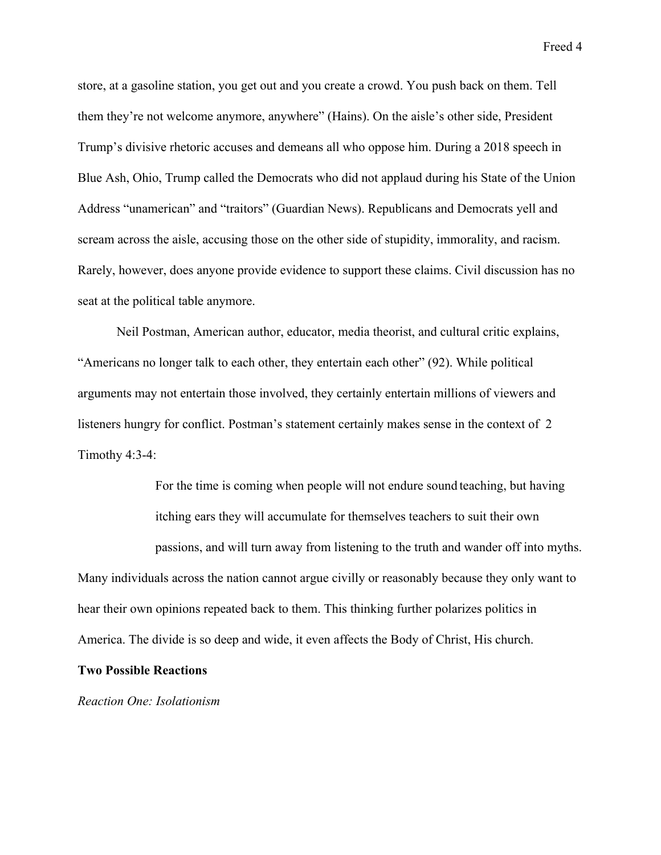store, at a gasoline station, you get out and you create a crowd. You push back on them. Tell them they're not welcome anymore, anywhere" (Hains). On the aisle's other side, President Trump's divisive rhetoric accuses and demeans all who oppose him. During a 2018 speech in Blue Ash, Ohio, Trump called the Democrats who did not applaud during his State of the Union Address "unamerican" and "traitors" (Guardian News). Republicans and Democrats yell and scream across the aisle, accusing those on the other side of stupidity, immorality, and racism. Rarely, however, does anyone provide evidence to support these claims. Civil discussion has no seat at the political table anymore.

Neil Postman, American author, educator, media theorist, and cultural critic explains, "Americans no longer talk to each other, they entertain each other" (92). While political arguments may not entertain those involved, they certainly entertain millions of viewers and listeners hungry for conflict. Postman's statement certainly makes sense in the context of 2 Timothy 4:3-4:

For the time is coming when people will not endure sound teaching, but having itching ears they will accumulate for themselves teachers to suit their own passions, and will turn away from listening to the truth and wander off into myths. Many individuals across the nation cannot argue civilly or reasonably because they only want to

hear their own opinions repeated back to them. This thinking further polarizes politics in America. The divide is so deep and wide, it even affects the Body of Christ, His church.

## **Two Possible Reactions**

*Reaction One: Isolationism*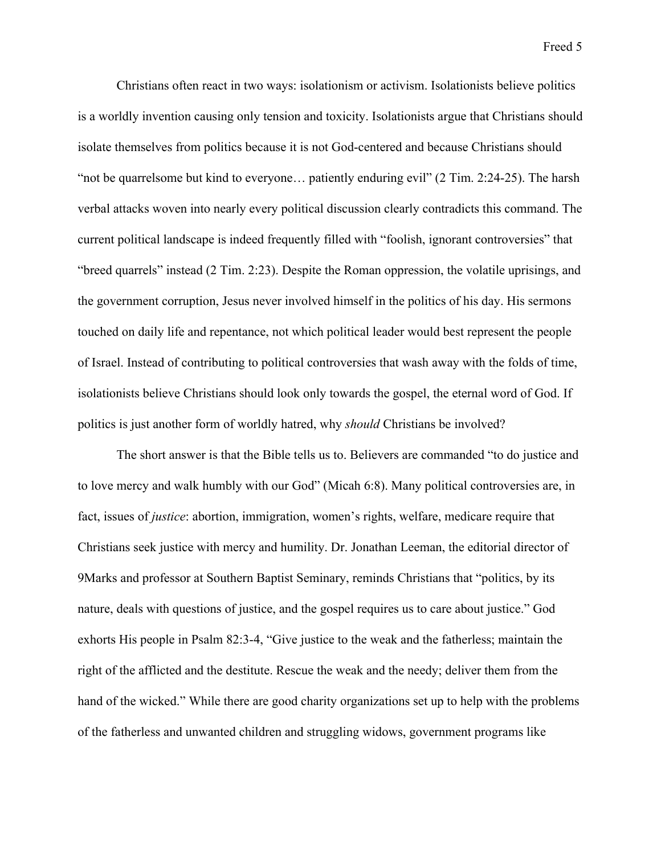Christians often react in two ways: isolationism or activism. Isolationists believe politics is a worldly invention causing only tension and toxicity. Isolationists argue that Christians should isolate themselves from politics because it is not God-centered and because Christians should "not be quarrelsome but kind to everyone... patiently enduring evil" (2 Tim. 2:24-25). The harsh verbal attacks woven into nearly every political discussion clearly contradicts this command. The current political landscape is indeed frequently filled with "foolish, ignorant controversies" that "breed quarrels" instead (2 Tim. 2:23). Despite the Roman oppression, the volatile uprisings, and the government corruption, Jesus never involved himself in the politics of his day. His sermons touched on daily life and repentance, not which political leader would best represent the people of Israel. Instead of contributing to political controversies that wash away with the folds of time, isolationists believe Christians should look only towards the gospel, the eternal word of God. If politics is just another form of worldly hatred, why *should* Christians be involved?

The short answer is that the Bible tells us to. Believers are commanded "to do justice and to love mercy and walk humbly with our God" (Micah 6:8). Many political controversies are, in fact, issues of *justice*: abortion, immigration, women's rights, welfare, medicare require that Christians seek justice with mercy and humility. Dr. Jonathan Leeman, the editorial director of 9Marks and professor at Southern Baptist Seminary, reminds Christians that "politics, by its nature, deals with questions of justice, and the gospel requires us to care about justice." God exhorts His people in Psalm 82:3-4, "Give justice to the weak and the fatherless; maintain the right of the afflicted and the destitute. Rescue the weak and the needy; deliver them from the hand of the wicked." While there are good charity organizations set up to help with the problems of the fatherless and unwanted children and struggling widows, government programs like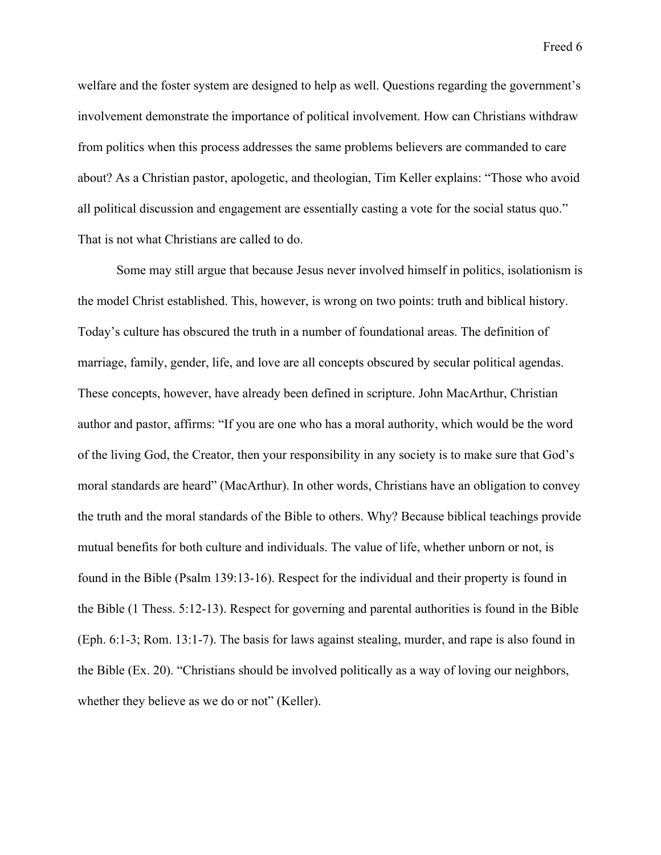welfare and the foster system are designed to help as well. Questions regarding the government's involvement demonstrate the importance of political involvement. How can Christians withdraw from politics when this process addresses the same problems believers are commanded to care about? As a Christian pastor, apologetic, and theologian, Tim Keller explains: "Those who avoid all political discussion and engagement are essentially casting a vote for the social status quo." That is not what Christians are called to do.

Some may still argue that because Jesus never involved himself in politics, isolationism is the model Christ established. This, however, is wrong on two points: truth and biblical history. Today's culture has obscured the truth in a number of foundational areas. The definition of marriage, family, gender, life, and love are all concepts obscured by secular political agendas. These concepts, however, have already been defined in scripture. John MacArthur, Christian author and pastor, affirms: "If you are one who has a moral authority, which would be the word of the living God, the Creator, then your responsibility in any society is to make sure that God's moral standards are heard" (MacArthur). In other words, Christians have an obligation to convey the truth and the moral standards of the Bible to others. Why? Because biblical teachings provide mutual benefits for both culture and individuals. The value of life, whether unborn or not, is found in the Bible (Psalm 139:13-16). Respect for the individual and their property is found in the Bible (1 Thess. 5:12-13). Respect for governing and parental authorities is found in the Bible (Eph. 6:1-3; Rom. 13:1-7). The basis for laws against stealing, murder, and rape is also found in the Bible (Ex. 20). "Christians should be involved politically as a way of loving our neighbors, whether they believe as we do or not" (Keller).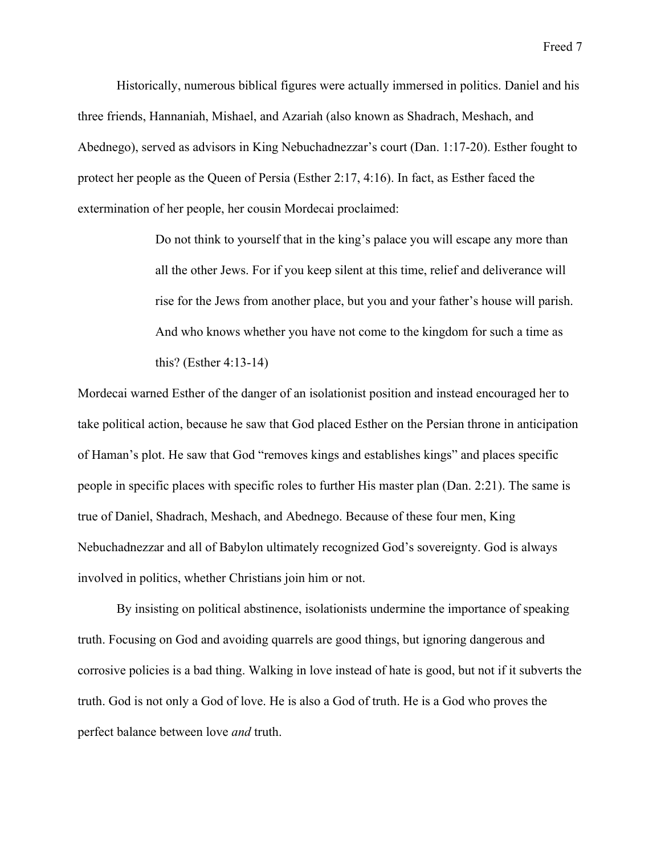Historically, numerous biblical figures were actually immersed in politics. Daniel and his three friends, Hannaniah, Mishael, and Azariah (also known as Shadrach, Meshach, and Abednego), served as advisors in King Nebuchadnezzar's court (Dan. 1:17-20). Esther fought to protect her people as the Queen of Persia (Esther 2:17, 4:16). In fact, as Esther faced the extermination of her people, her cousin Mordecai proclaimed:

> Do not think to yourself that in the king's palace you will escape any more than all the other Jews. For if you keep silent at this time, relief and deliverance will rise for the Jews from another place, but you and your father's house will parish. And who knows whether you have not come to the kingdom for such a time as this? (Esther 4:13-14)

Mordecai warned Esther of the danger of an isolationist position and instead encouraged her to take political action, because he saw that God placed Esther on the Persian throne in anticipation of Haman's plot. He saw that God "removes kings and establishes kings" and places specific people in specific places with specific roles to further His master plan (Dan. 2:21). The same is true of Daniel, Shadrach, Meshach, and Abednego. Because of these four men, King Nebuchadnezzar and all of Babylon ultimately recognized God's sovereignty. God is always involved in politics, whether Christians join him or not.

By insisting on political abstinence, isolationists undermine the importance of speaking truth. Focusing on God and avoiding quarrels are good things, but ignoring dangerous and corrosive policies is a bad thing. Walking in love instead of hate is good, but not if it subverts the truth. God is not only a God of love. He is also a God of truth. He is a God who proves the perfect balance between love *and* truth.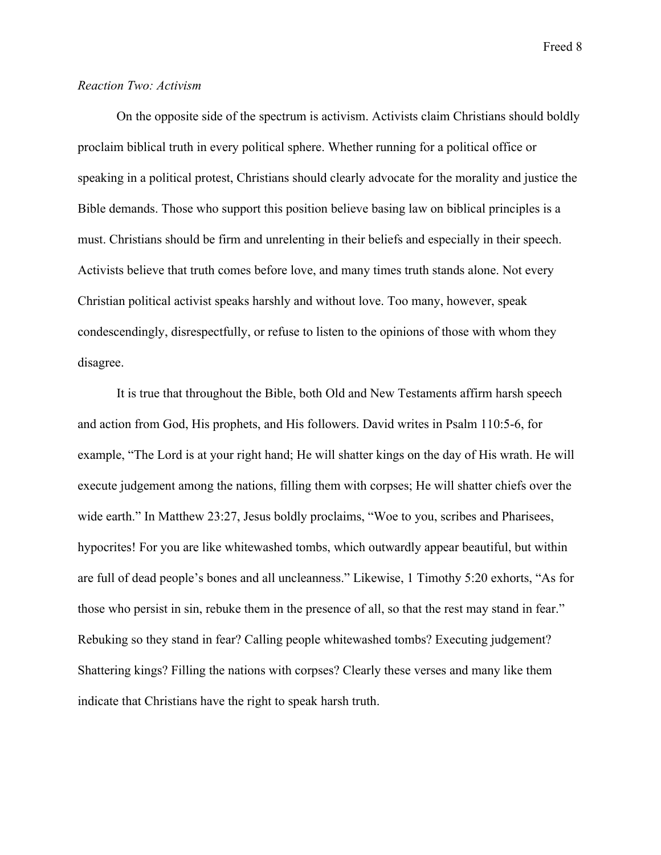# *Reaction Two: Activism*

On the opposite side of the spectrum is activism. Activists claim Christians should boldly proclaim biblical truth in every political sphere. Whether running for a political office or speaking in a political protest, Christians should clearly advocate for the morality and justice the Bible demands. Those who support this position believe basing law on biblical principles is a must. Christians should be firm and unrelenting in their beliefs and especially in their speech. Activists believe that truth comes before love, and many times truth stands alone. Not every Christian political activist speaks harshly and without love. Too many, however, speak condescendingly, disrespectfully, or refuse to listen to the opinions of those with whom they disagree.

It is true that throughout the Bible, both Old and New Testaments affirm harsh speech and action from God, His prophets, and His followers. David writes in Psalm 110:5-6, for example, "The Lord is at your right hand; He will shatter kings on the day of His wrath. He will execute judgement among the nations, filling them with corpses; He will shatter chiefs over the wide earth." In Matthew 23:27, Jesus boldly proclaims, "Woe to you, scribes and Pharisees, hypocrites! For you are like whitewashed tombs, which outwardly appear beautiful, but within are full of dead people's bones and all uncleanness." Likewise, 1 Timothy 5:20 exhorts, "As for those who persist in sin, rebuke them in the presence of all, so that the rest may stand in fear." Rebuking so they stand in fear? Calling people whitewashed tombs? Executing judgement? Shattering kings? Filling the nations with corpses? Clearly these verses and many like them indicate that Christians have the right to speak harsh truth.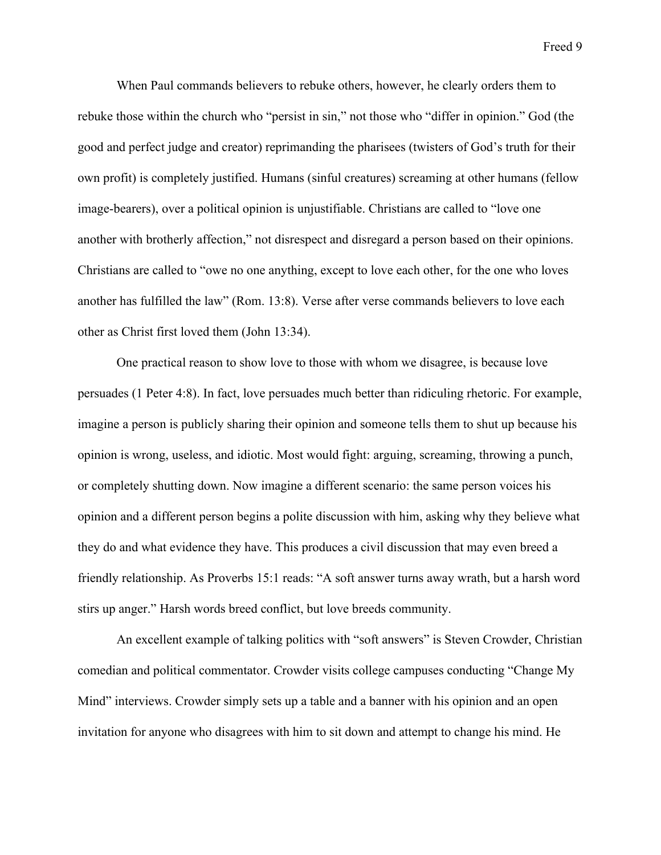When Paul commands believers to rebuke others, however, he clearly orders them to rebuke those within the church who "persist in sin," not those who "differ in opinion." God (the good and perfect judge and creator) reprimanding the pharisees (twisters of God's truth for their own profit) is completely justified. Humans (sinful creatures) screaming at other humans (fellow image-bearers), over a political opinion is unjustifiable. Christians are called to "love one another with brotherly affection," not disrespect and disregard a person based on their opinions. Christians are called to "owe no one anything, except to love each other, for the one who loves another has fulfilled the law" (Rom. 13:8). Verse after verse commands believers to love each other as Christ first loved them (John 13:34).

One practical reason to show love to those with whom we disagree, is because love persuades (1 Peter 4:8). In fact, love persuades much better than ridiculing rhetoric. For example, imagine a person is publicly sharing their opinion and someone tells them to shut up because his opinion is wrong, useless, and idiotic. Most would fight: arguing, screaming, throwing a punch, or completely shutting down. Now imagine a different scenario: the same person voices his opinion and a different person begins a polite discussion with him, asking why they believe what they do and what evidence they have. This produces a civil discussion that may even breed a friendly relationship. As Proverbs 15:1 reads: "A soft answer turns away wrath, but a harsh word stirs up anger." Harsh words breed conflict, but love breeds community.

An excellent example of talking politics with "soft answers" is Steven Crowder, Christian comedian and political commentator. Crowder visits college campuses conducting "Change My Mind" interviews. Crowder simply sets up a table and a banner with his opinion and an open invitation for anyone who disagrees with him to sit down and attempt to change his mind. He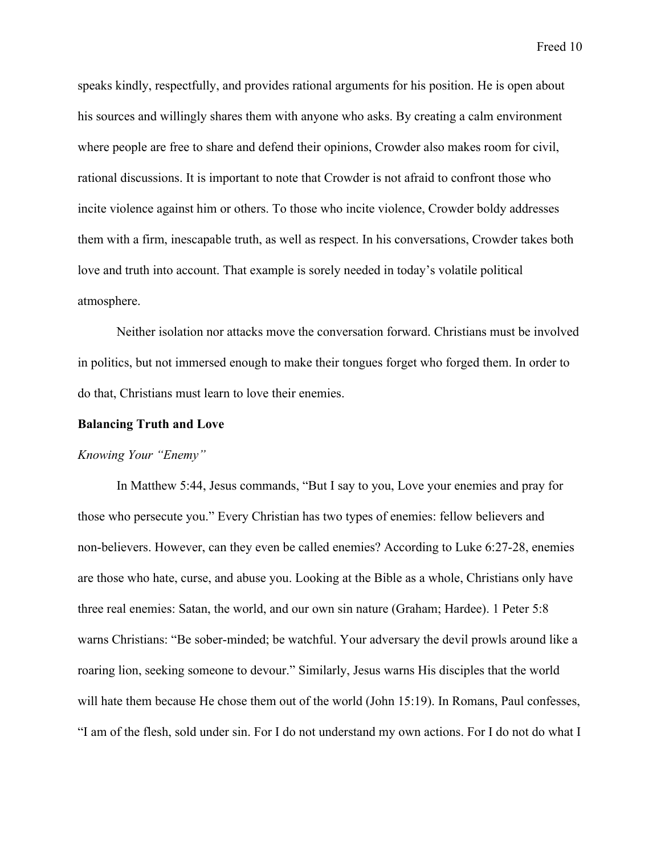speaks kindly, respectfully, and provides rational arguments for his position. He is open about his sources and willingly shares them with anyone who asks. By creating a calm environment where people are free to share and defend their opinions, Crowder also makes room for civil, rational discussions. It is important to note that Crowder is not afraid to confront those who incite violence against him or others. To those who incite violence, Crowder boldy addresses them with a firm, inescapable truth, as well as respect. In his conversations, Crowder takes both love and truth into account. That example is sorely needed in today's volatile political atmosphere.

Neither isolation nor attacks move the conversation forward. Christians must be involved in politics, but not immersed enough to make their tongues forget who forged them. In order to do that, Christians must learn to love their enemies.

#### **Balancing Truth and Love**

#### *Knowing Your "Enemy"*

In Matthew 5:44, Jesus commands, "But I say to you, Love your enemies and pray for those who persecute you." Every Christian has two types of enemies: fellow believers and non-believers. However, can they even be called enemies? According to Luke 6:27-28, enemies are those who hate, curse, and abuse you. Looking at the Bible as a whole, Christians only have three real enemies: Satan, the world, and our own sin nature (Graham; Hardee). 1 Peter 5:8 warns Christians: "Be sober-minded; be watchful. Your adversary the devil prowls around like a roaring lion, seeking someone to devour." Similarly, Jesus warns His disciples that the world will hate them because He chose them out of the world (John 15:19). In Romans, Paul confesses, "I am of the flesh, sold under sin. For I do not understand my own actions. For I do not do what I

Freed 10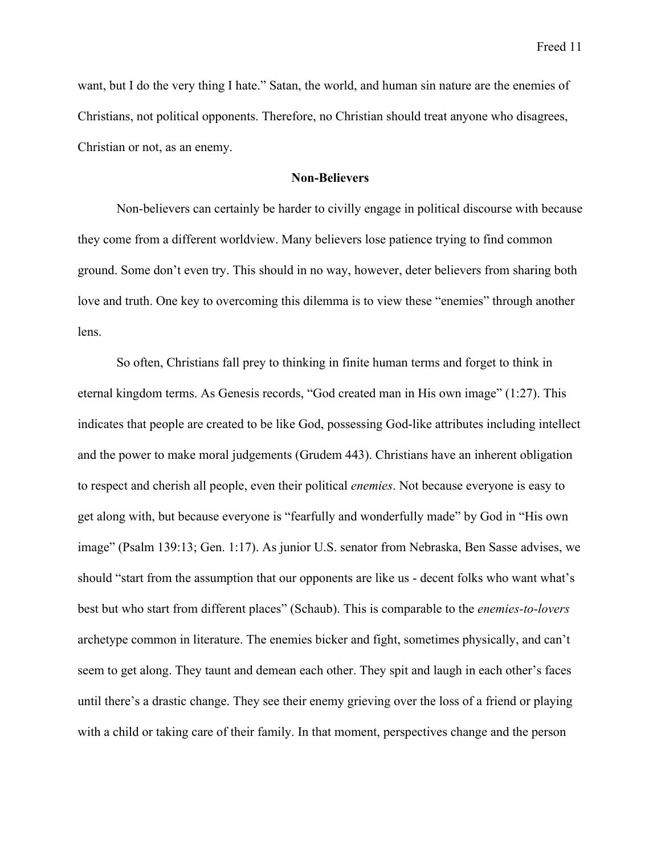want, but I do the very thing I hate." Satan, the world, and human sin nature are the enemies of Christians, not political opponents. Therefore, no Christian should treat anyone who disagrees, Christian or not, as an enemy.

# **Non-Believers**

Non-believers can certainly be harder to civilly engage in political discourse with because they come from a different worldview. Many believers lose patience trying to find common ground. Some don't even try. This should in no way, however, deter believers from sharing both love and truth. One key to overcoming this dilemma is to view these "enemies" through another lens.

So often, Christians fall prey to thinking in finite human terms and forget to think in eternal kingdom terms. As Genesis records, "God created man in His own image" (1:27). This indicates that people are created to be like God, possessing God-like attributes including intellect and the power to make moral judgements (Grudem 443). Christians have an inherent obligation to respect and cherish all people, even their political *enemies*. Not because everyone is easy to get along with, but because everyone is "fearfully and wonderfully made" by God in "His own image" (Psalm 139:13; Gen. 1:17). As junior U.S. senator from Nebraska, Ben Sasse advises, we should "start from the assumption that our opponents are like us - decent folks who want what's best but who start from different places" (Schaub). This is comparable to the *enemies-to-lovers* archetype common in literature. The enemies bicker and fight, sometimes physically, and can't seem to get along. They taunt and demean each other. They spit and laugh in each other's faces until there's a drastic change. They see their enemy grieving over the loss of a friend or playing with a child or taking care of their family. In that moment, perspectives change and the person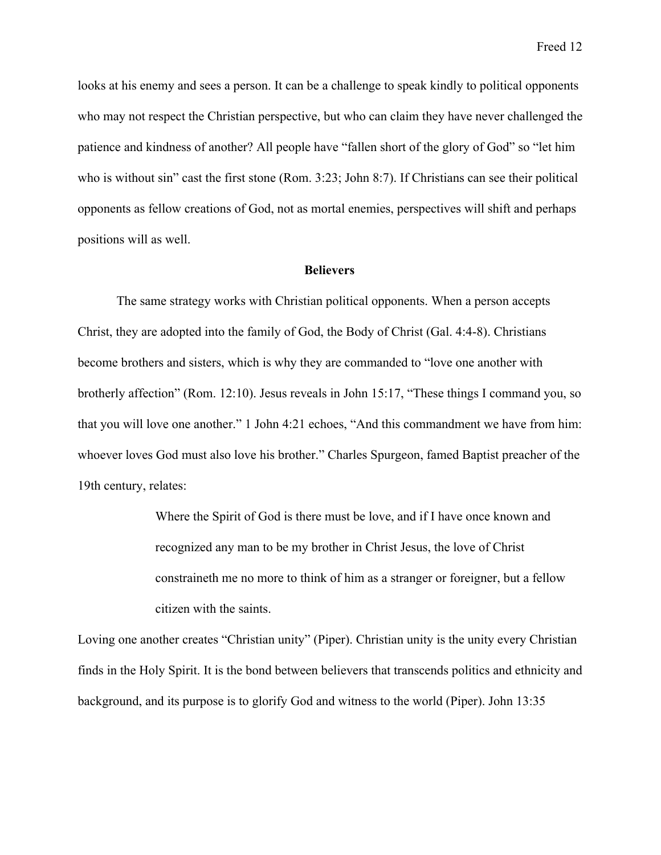looks at his enemy and sees a person. It can be a challenge to speak kindly to political opponents who may not respect the Christian perspective, but who can claim they have never challenged the patience and kindness of another? All people have "fallen short of the glory of God" so "let him who is without sin" cast the first stone (Rom. 3:23; John 8:7). If Christians can see their political opponents as fellow creations of God, not as mortal enemies, perspectives will shift and perhaps positions will as well.

#### **Believers**

The same strategy works with Christian political opponents. When a person accepts Christ, they are adopted into the family of God, the Body of Christ (Gal. 4:4-8). Christians become brothers and sisters, which is why they are commanded to "love one another with brotherly affection" (Rom. 12:10). Jesus reveals in John 15:17, "These things I command you, so that you will love one another." 1 John 4:21 echoes, "And this commandment we have from him: whoever loves God must also love his brother." Charles Spurgeon, famed Baptist preacher of the 19th century, relates:

> Where the Spirit of God is there must be love, and if I have once known and recognized any man to be my brother in Christ Jesus, the love of Christ constraineth me no more to think of him as a stranger or foreigner, but a fellow citizen with the saints.

Loving one another creates "Christian unity" (Piper). Christian unity is the unity every Christian finds in the Holy Spirit. It is the bond between believers that transcends politics and ethnicity and background, and its purpose is to glorify God and witness to the world (Piper). John 13:35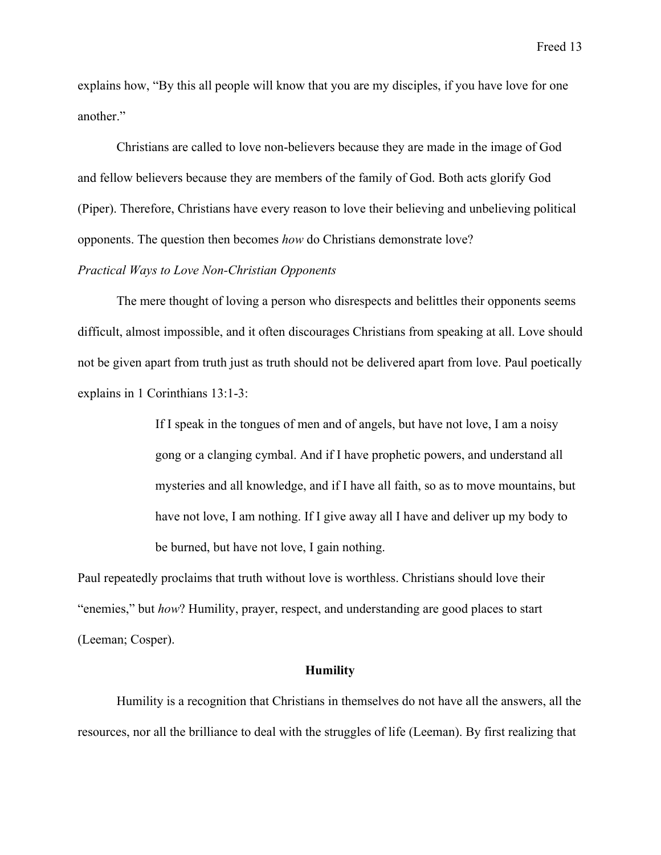explains how, "By this all people will know that you are my disciples, if you have love for one another."

Christians are called to love non-believers because they are made in the image of God and fellow believers because they are members of the family of God. Both acts glorify God (Piper). Therefore, Christians have every reason to love their believing and unbelieving political opponents. The question then becomes *how* do Christians demonstrate love?

# *Practical Ways to Love Non-Christian Opponents*

The mere thought of loving a person who disrespects and belittles their opponents seems difficult, almost impossible, and it often discourages Christians from speaking at all. Love should not be given apart from truth just as truth should not be delivered apart from love. Paul poetically explains in 1 Corinthians 13:1-3:

> If I speak in the tongues of men and of angels, but have not love, I am a noisy gong or a clanging cymbal. And if I have prophetic powers, and understand all mysteries and all knowledge, and if I have all faith, so as to move mountains, but have not love, I am nothing. If I give away all I have and deliver up my body to be burned, but have not love, I gain nothing.

Paul repeatedly proclaims that truth without love is worthless. Christians should love their "enemies," but *how*? Humility, prayer, respect, and understanding are good places to start (Leeman; Cosper).

#### **Humility**

Humility is a recognition that Christians in themselves do not have all the answers, all the resources, nor all the brilliance to deal with the struggles of life (Leeman). By first realizing that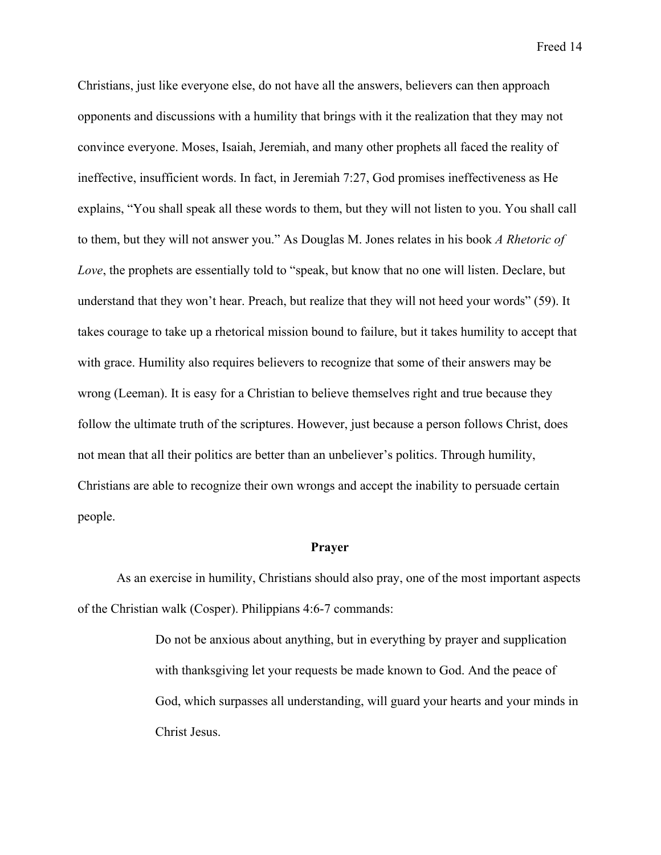Christians, just like everyone else, do not have all the answers, believers can then approach opponents and discussions with a humility that brings with it the realization that they may not convince everyone. Moses, Isaiah, Jeremiah, and many other prophets all faced the reality of ineffective, insufficient words. In fact, in Jeremiah 7:27, God promises ineffectiveness as He explains, "You shall speak all these words to them, but they will not listen to you. You shall call to them, but they will not answer you." As Douglas M. Jones relates in his book *A Rhetoric of Love*, the prophets are essentially told to "speak, but know that no one will listen. Declare, but understand that they won't hear. Preach, but realize that they will not heed your words" (59). It takes courage to take up a rhetorical mission bound to failure, but it takes humility to accept that with grace. Humility also requires believers to recognize that some of their answers may be wrong (Leeman). It is easy for a Christian to believe themselves right and true because they follow the ultimate truth of the scriptures. However, just because a person follows Christ, does not mean that all their politics are better than an unbeliever's politics. Through humility, Christians are able to recognize their own wrongs and accept the inability to persuade certain people.

### **Prayer**

As an exercise in humility, Christians should also pray, one of the most important aspects of the Christian walk (Cosper). Philippians 4:6-7 commands:

> Do not be anxious about anything, but in everything by prayer and supplication with thanksgiving let your requests be made known to God. And the peace of God, which surpasses all understanding, will guard your hearts and your minds in Christ Jesus.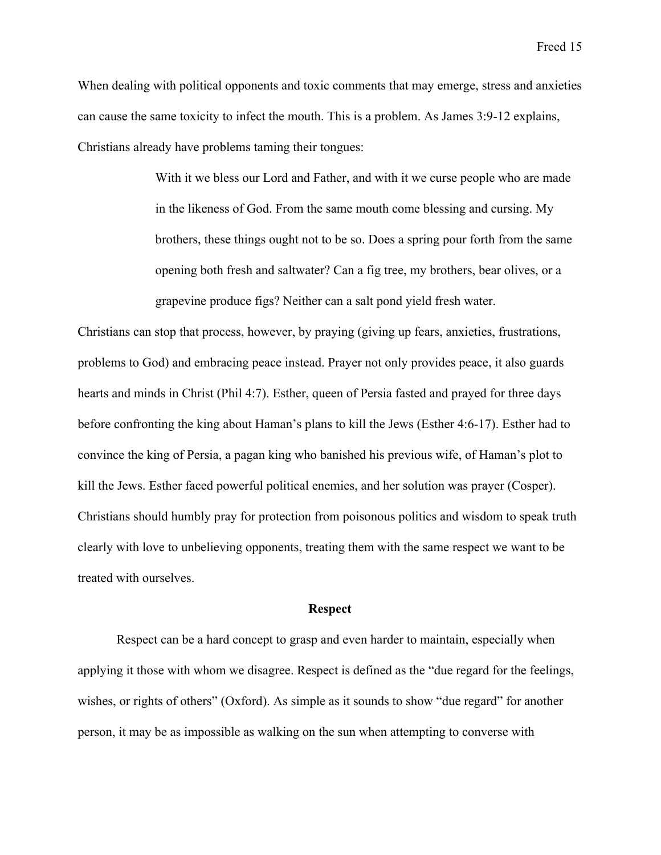When dealing with political opponents and toxic comments that may emerge, stress and anxieties can cause the same toxicity to infect the mouth. This is a problem. As James 3:9-12 explains, Christians already have problems taming their tongues:

> With it we bless our Lord and Father, and with it we curse people who are made in the likeness of God. From the same mouth come blessing and cursing. My brothers, these things ought not to be so. Does a spring pour forth from the same opening both fresh and saltwater? Can a fig tree, my brothers, bear olives, or a grapevine produce figs? Neither can a salt pond yield fresh water.

Christians can stop that process, however, by praying (giving up fears, anxieties, frustrations, problems to God) and embracing peace instead. Prayer not only provides peace, it also guards hearts and minds in Christ (Phil 4:7). Esther, queen of Persia fasted and prayed for three days before confronting the king about Haman's plans to kill the Jews (Esther 4:6-17). Esther had to convince the king of Persia, a pagan king who banished his previous wife, of Haman's plot to kill the Jews. Esther faced powerful political enemies, and her solution was prayer (Cosper). Christians should humbly pray for protection from poisonous politics and wisdom to speak truth clearly with love to unbelieving opponents, treating them with the same respect we want to be treated with ourselves.

#### **Respect**

Respect can be a hard concept to grasp and even harder to maintain, especially when applying it those with whom we disagree. Respect is defined as the "due regard for the feelings, wishes, or rights of others" (Oxford). As simple as it sounds to show "due regard" for another person, it may be as impossible as walking on the sun when attempting to converse with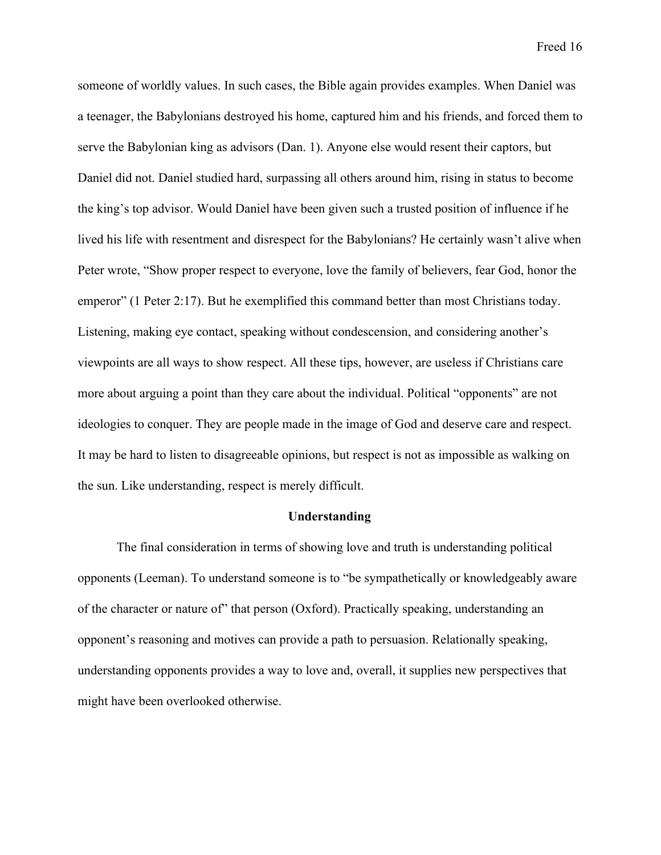someone of worldly values. In such cases, the Bible again provides examples. When Daniel was a teenager, the Babylonians destroyed his home, captured him and his friends, and forced them to serve the Babylonian king as advisors (Dan. 1). Anyone else would resent their captors, but Daniel did not. Daniel studied hard, surpassing all others around him, rising in status to become the king's top advisor. Would Daniel have been given such a trusted position of influence if he lived his life with resentment and disrespect for the Babylonians? He certainly wasn't alive when Peter wrote, "Show proper respect to everyone, love the family of believers, fear God, honor the emperor" (1 Peter 2:17). But he exemplified this command better than most Christians today. Listening, making eye contact, speaking without condescension, and considering another's viewpoints are all ways to show respect. All these tips, however, are useless if Christians care more about arguing a point than they care about the individual. Political "opponents" are not ideologies to conquer. They are people made in the image of God and deserve care and respect. It may be hard to listen to disagreeable opinions, but respect is not as impossible as walking on the sun. Like understanding, respect is merely difficult.

#### **Understanding**

The final consideration in terms of showing love and truth is understanding political opponents (Leeman). To understand someone is to "be sympathetically or knowledgeably aware of the character or nature of" that person (Oxford). Practically speaking, understanding an opponent's reasoning and motives can provide a path to persuasion. Relationally speaking, understanding opponents provides a way to love and, overall, it supplies new perspectives that might have been overlooked otherwise.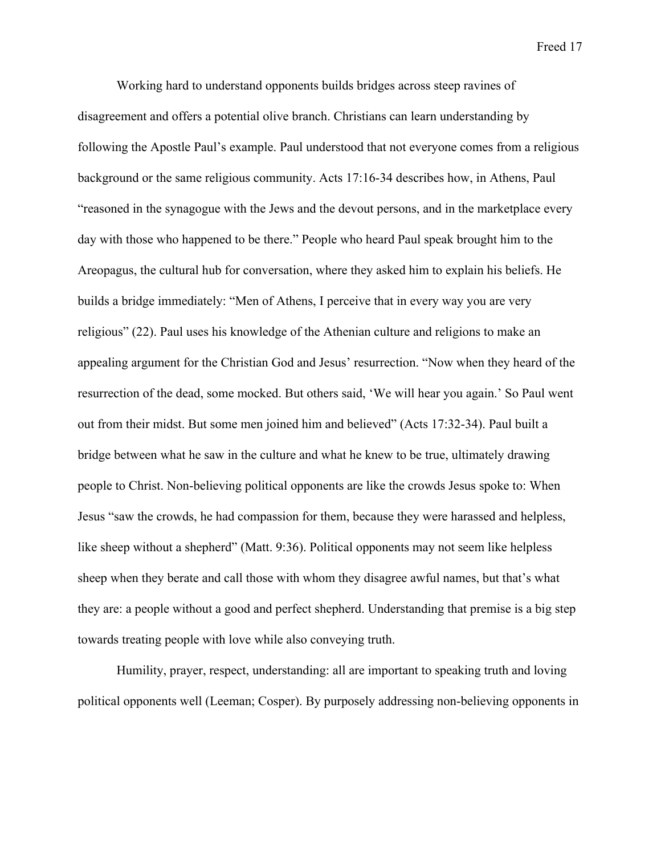Working hard to understand opponents builds bridges across steep ravines of disagreement and offers a potential olive branch. Christians can learn understanding by following the Apostle Paul's example. Paul understood that not everyone comes from a religious background or the same religious community. Acts 17:16-34 describes how, in Athens, Paul "reasoned in the synagogue with the Jews and the devout persons, and in the marketplace every day with those who happened to be there." People who heard Paul speak brought him to the Areopagus, the cultural hub for conversation, where they asked him to explain his beliefs. He builds a bridge immediately: "Men of Athens, I perceive that in every way you are very religious" (22). Paul uses his knowledge of the Athenian culture and religions to make an appealing argument for the Christian God and Jesus' resurrection. "Now when they heard of the resurrection of the dead, some mocked. But others said, 'We will hear you again.' So Paul went out from their midst. But some men joined him and believed" (Acts 17:32-34). Paul built a bridge between what he saw in the culture and what he knew to be true, ultimately drawing people to Christ. Non-believing political opponents are like the crowds Jesus spoke to: When Jesus "saw the crowds, he had compassion for them, because they were harassed and helpless, like sheep without a shepherd" (Matt. 9:36). Political opponents may not seem like helpless sheep when they berate and call those with whom they disagree awful names, but that's what they are: a people without a good and perfect shepherd. Understanding that premise is a big step towards treating people with love while also conveying truth.

Humility, prayer, respect, understanding: all are important to speaking truth and loving political opponents well (Leeman; Cosper). By purposely addressing non-believing opponents in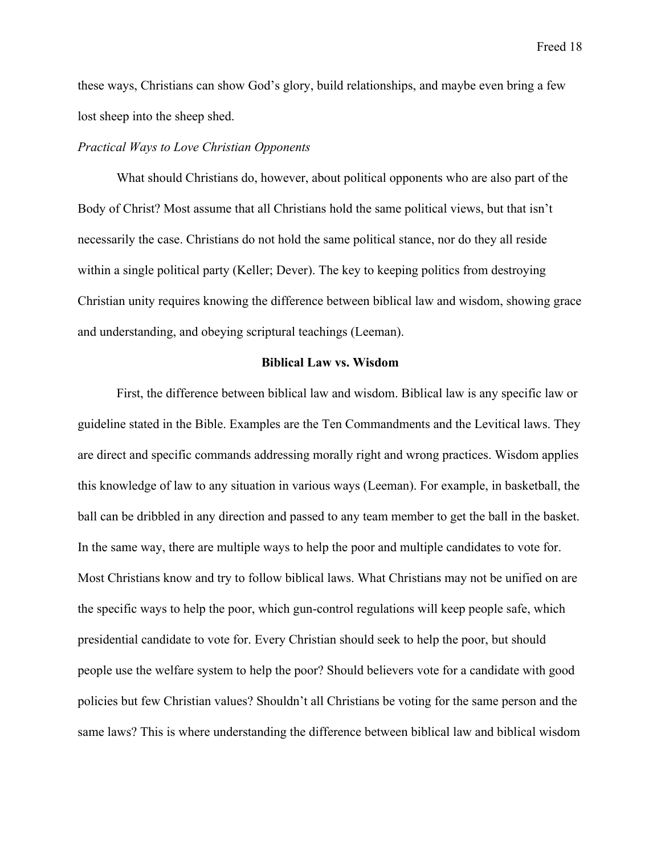these ways, Christians can show God's glory, build relationships, and maybe even bring a few lost sheep into the sheep shed.

## *Practical Ways to Love Christian Opponents*

What should Christians do, however, about political opponents who are also part of the Body of Christ? Most assume that all Christians hold the same political views, but that isn't necessarily the case. Christians do not hold the same political stance, nor do they all reside within a single political party (Keller; Dever). The key to keeping politics from destroying Christian unity requires knowing the difference between biblical law and wisdom, showing grace and understanding, and obeying scriptural teachings (Leeman).

#### **Biblical Law vs. Wisdom**

First, the difference between biblical law and wisdom. Biblical law is any specific law or guideline stated in the Bible. Examples are the Ten Commandments and the Levitical laws. They are direct and specific commands addressing morally right and wrong practices. Wisdom applies this knowledge of law to any situation in various ways (Leeman). For example, in basketball, the ball can be dribbled in any direction and passed to any team member to get the ball in the basket. In the same way, there are multiple ways to help the poor and multiple candidates to vote for. Most Christians know and try to follow biblical laws. What Christians may not be unified on are the specific ways to help the poor, which gun-control regulations will keep people safe, which presidential candidate to vote for. Every Christian should seek to help the poor, but should people use the welfare system to help the poor? Should believers vote for a candidate with good policies but few Christian values? Shouldn't all Christians be voting for the same person and the same laws? This is where understanding the difference between biblical law and biblical wisdom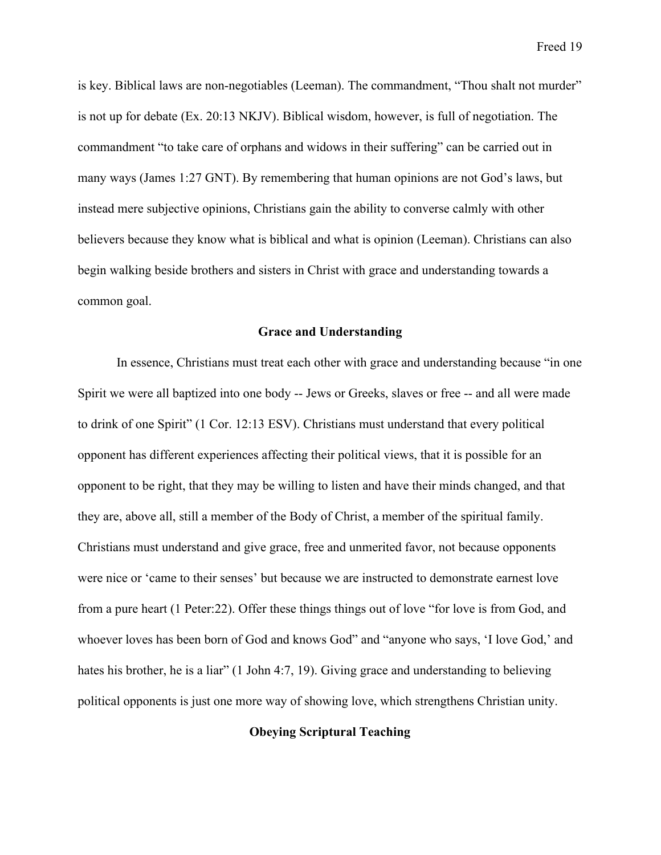is key. Biblical laws are non-negotiables (Leeman). The commandment, "Thou shalt not murder" is not up for debate (Ex. 20:13 NKJV). Biblical wisdom, however, is full of negotiation. The commandment "to take care of orphans and widows in their suffering" can be carried out in many ways (James 1:27 GNT). By remembering that human opinions are not God's laws, but instead mere subjective opinions, Christians gain the ability to converse calmly with other believers because they know what is biblical and what is opinion (Leeman). Christians can also begin walking beside brothers and sisters in Christ with grace and understanding towards a common goal.

## **Grace and Understanding**

In essence, Christians must treat each other with grace and understanding because "in one Spirit we were all baptized into one body -- Jews or Greeks, slaves or free -- and all were made to drink of one Spirit" (1 Cor. 12:13 ESV). Christians must understand that every political opponent has different experiences affecting their political views, that it is possible for an opponent to be right, that they may be willing to listen and have their minds changed, and that they are, above all, still a member of the Body of Christ, a member of the spiritual family. Christians must understand and give grace, free and unmerited favor, not because opponents were nice or 'came to their senses' but because we are instructed to demonstrate earnest love from a pure heart (1 Peter:22). Offer these things things out of love "for love is from God, and whoever loves has been born of God and knows God" and "anyone who says, 'I love God,' and hates his brother, he is a liar" (1 John 4:7, 19). Giving grace and understanding to believing political opponents is just one more way of showing love, which strengthens Christian unity.

# **Obeying Scriptural Teaching**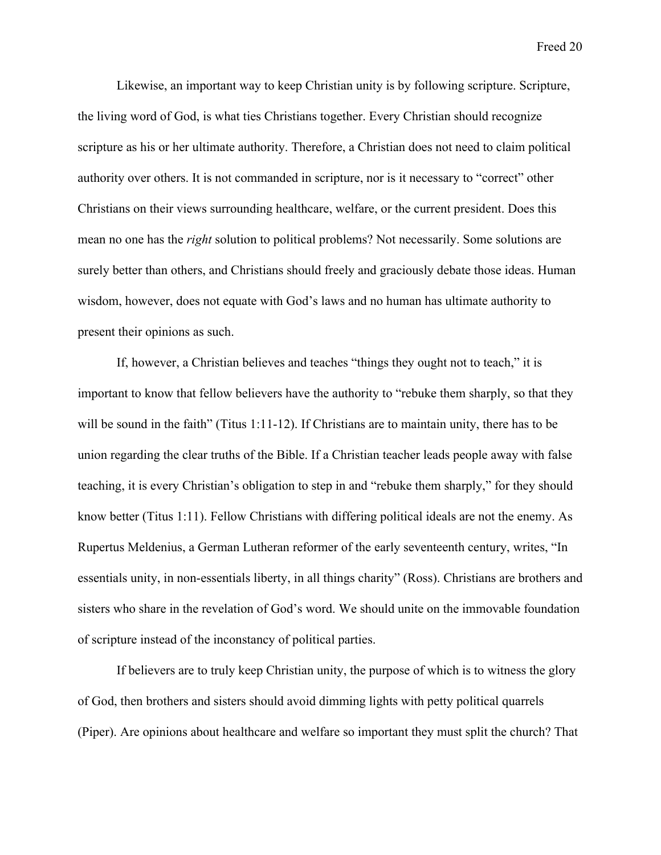Likewise, an important way to keep Christian unity is by following scripture. Scripture, the living word of God, is what ties Christians together. Every Christian should recognize scripture as his or her ultimate authority. Therefore, a Christian does not need to claim political authority over others. It is not commanded in scripture, nor is it necessary to "correct" other Christians on their views surrounding healthcare, welfare, or the current president. Does this mean no one has the *right* solution to political problems? Not necessarily. Some solutions are surely better than others, and Christians should freely and graciously debate those ideas. Human wisdom, however, does not equate with God's laws and no human has ultimate authority to present their opinions as such.

If, however, a Christian believes and teaches "things they ought not to teach," it is important to know that fellow believers have the authority to "rebuke them sharply, so that they will be sound in the faith" (Titus 1:11-12). If Christians are to maintain unity, there has to be union regarding the clear truths of the Bible. If a Christian teacher leads people away with false teaching, it is every Christian's obligation to step in and "rebuke them sharply," for they should know better (Titus 1:11). Fellow Christians with differing political ideals are not the enemy. As Rupertus Meldenius, a German Lutheran reformer of the early seventeenth century, writes, "In essentials unity, in non-essentials liberty, in all things charity" (Ross). Christians are brothers and sisters who share in the revelation of God's word. We should unite on the immovable foundation of scripture instead of the inconstancy of political parties.

If believers are to truly keep Christian unity, the purpose of which is to witness the glory of God, then brothers and sisters should avoid dimming lights with petty political quarrels (Piper). Are opinions about healthcare and welfare so important they must split the church? That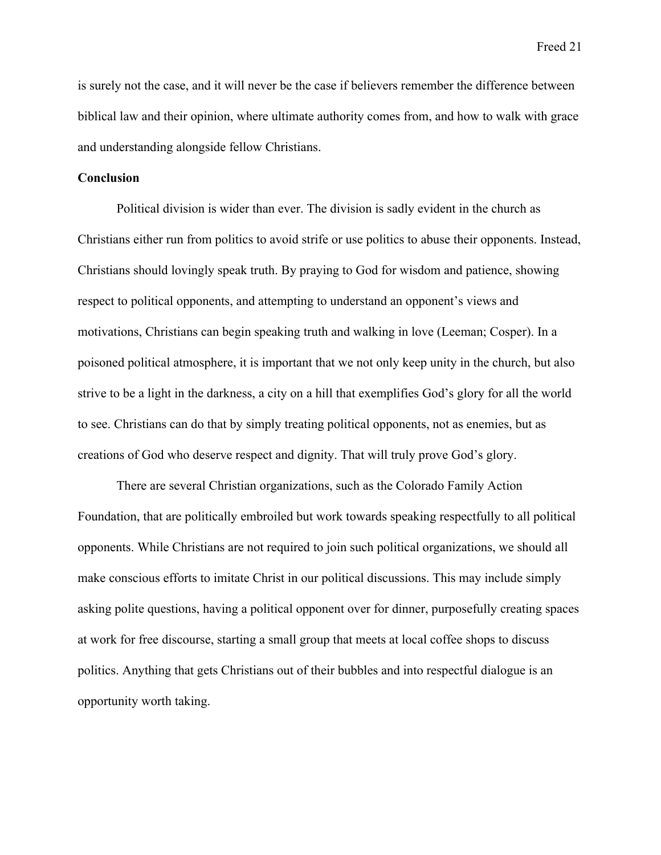is surely not the case, and it will never be the case if believers remember the difference between biblical law and their opinion, where ultimate authority comes from, and how to walk with grace and understanding alongside fellow Christians.

## **Conclusion**

Political division is wider than ever. The division is sadly evident in the church as Christians either run from politics to avoid strife or use politics to abuse their opponents. Instead, Christians should lovingly speak truth. By praying to God for wisdom and patience, showing respect to political opponents, and attempting to understand an opponent's views and motivations, Christians can begin speaking truth and walking in love (Leeman; Cosper). In a poisoned political atmosphere, it is important that we not only keep unity in the church, but also strive to be a light in the darkness, a city on a hill that exemplifies God's glory for all the world to see. Christians can do that by simply treating political opponents, not as enemies, but as creations of God who deserve respect and dignity. That will truly prove God's glory.

There are several Christian organizations, such as the Colorado Family Action Foundation, that are politically embroiled but work towards speaking respectfully to all political opponents. While Christians are not required to join such political organizations, we should all make conscious efforts to imitate Christ in our political discussions. This may include simply asking polite questions, having a political opponent over for dinner, purposefully creating spaces at work for free discourse, starting a small group that meets at local coffee shops to discuss politics. Anything that gets Christians out of their bubbles and into respectful dialogue is an opportunity worth taking.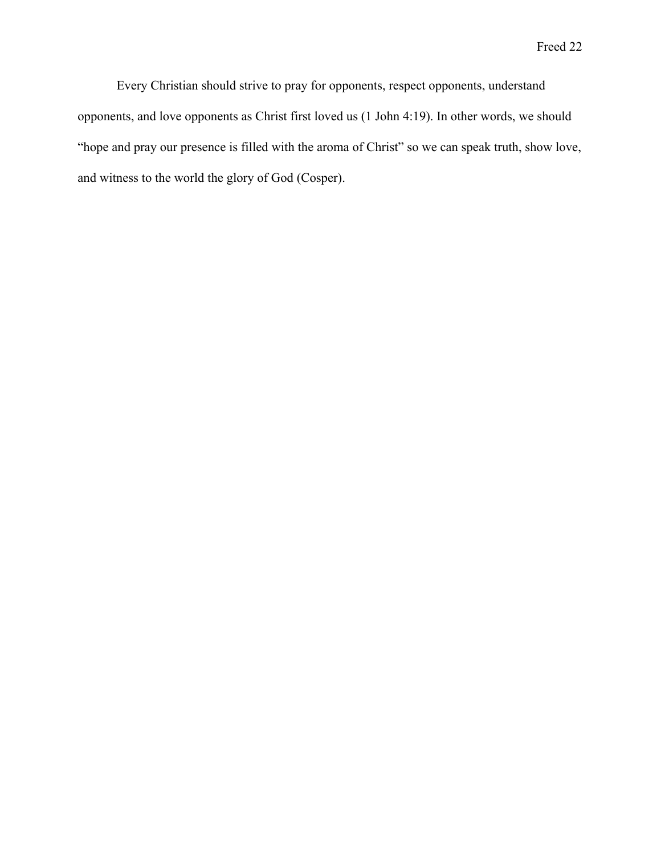Every Christian should strive to pray for opponents, respect opponents, understand opponents, and love opponents as Christ first loved us (1 John 4:19). In other words, we should "hope and pray our presence is filled with the aroma of Christ" so we can speak truth, show love, and witness to the world the glory of God (Cosper).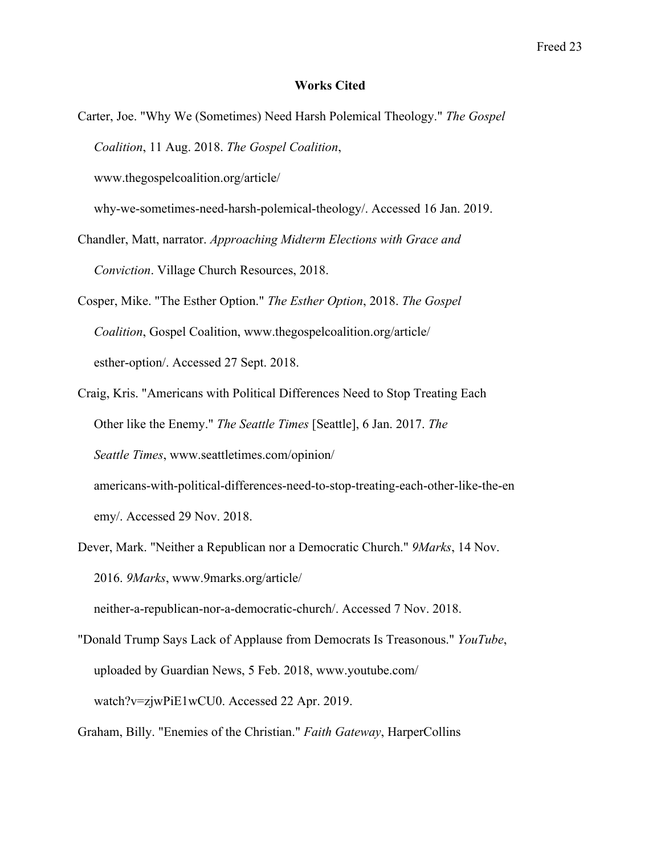### **Works Cited**

Carter, Joe. "Why We (Sometimes) Need Harsh Polemical Theology." *The Gospel Coalition*, 11 Aug. 2018. *The Gospel Coalition*,

www.thegospelcoalition.org/article/

why-we-sometimes-need-harsh-polemical-theology/. Accessed 16 Jan. 2019.

- Chandler, Matt, narrator. *Approaching Midterm Elections with Grace and Conviction*. Village Church Resources, 2018.
- Cosper, Mike. "The Esther Option." *The Esther Option*, 2018. *The Gospel Coalition*, Gospel Coalition, www.thegospelcoalition.org/article/ esther-option/. Accessed 27 Sept. 2018.
- Craig, Kris. "Americans with Political Differences Need to Stop Treating Each Other like the Enemy." *The Seattle Times* [Seattle], 6 Jan. 2017. *The Seattle Times*, www.seattletimes.com/opinion/ americans-with-political-differences-need-to-stop-treating-each-other-like-the-en

emy/. Accessed 29 Nov. 2018.

Dever, Mark. "Neither a Republican nor a Democratic Church." *9Marks*, 14 Nov. 2016. *9Marks*, www.9marks.org/article/

neither-a-republican-nor-a-democratic-church/. Accessed 7 Nov. 2018.

"Donald Trump Says Lack of Applause from Democrats Is Treasonous." *YouTube*, uploaded by Guardian News, 5 Feb. 2018, www.youtube.com/ watch?v=zjwPiE1wCU0. Accessed 22 Apr. 2019.

Graham, Billy. "Enemies of the Christian." *Faith Gateway*, HarperCollins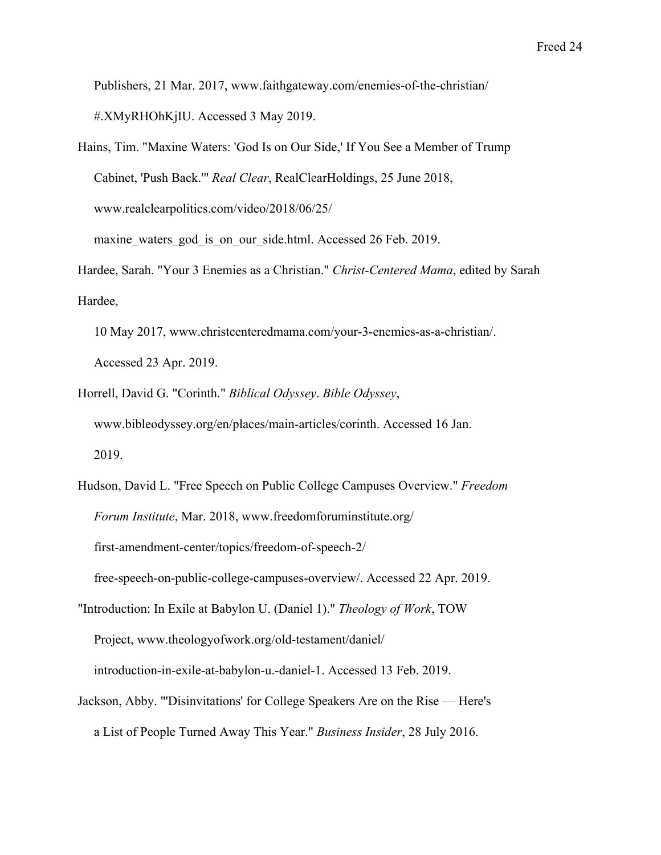Publishers, 21 Mar. 2017, www.faithgateway.com/enemies-of-the-christian/ #.XMyRHOhKjIU. Accessed 3 May 2019.

- Hains, Tim. "Maxine Waters: 'God Is on Our Side,' If You See a Member of Trump Cabinet, 'Push Back.'" *Real Clear*, RealClearHoldings, 25 June 2018, www.realclearpolitics.com/video/2018/06/25/ maxine waters god is on our side.html. Accessed 26 Feb. 2019.
- Hardee, Sarah. "Your 3 Enemies as a Christian." *Christ-Centered Mama*, edited by Sarah Hardee,
	- 10 May 2017, www.christcenteredmama.com/your-3-enemies-as-a-christian/. Accessed 23 Apr. 2019.
- Horrell, David G. "Corinth." *Biblical Odyssey*. *Bible Odyssey*, www.bibleodyssey.org/en/places/main-articles/corinth. Accessed 16 Jan. 2019.
- Hudson, David L. "Free Speech on Public College Campuses Overview." *Freedom Forum Institute*, Mar. 2018, www.freedomforuminstitute.org/ first-amendment-center/topics/freedom-of-speech-2/ free-speech-on-public-college-campuses-overview/. Accessed 22 Apr. 2019.
- "Introduction: In Exile at Babylon U. (Daniel 1)." *Theology of Work*, TOW Project, www.theologyofwork.org/old-testament/daniel/ introduction-in-exile-at-babylon-u.-daniel-1. Accessed 13 Feb. 2019.
- Jackson, Abby. "'Disinvitations' for College Speakers Are on the Rise Here's a List of People Turned Away This Year." *Business Insider*, 28 July 2016.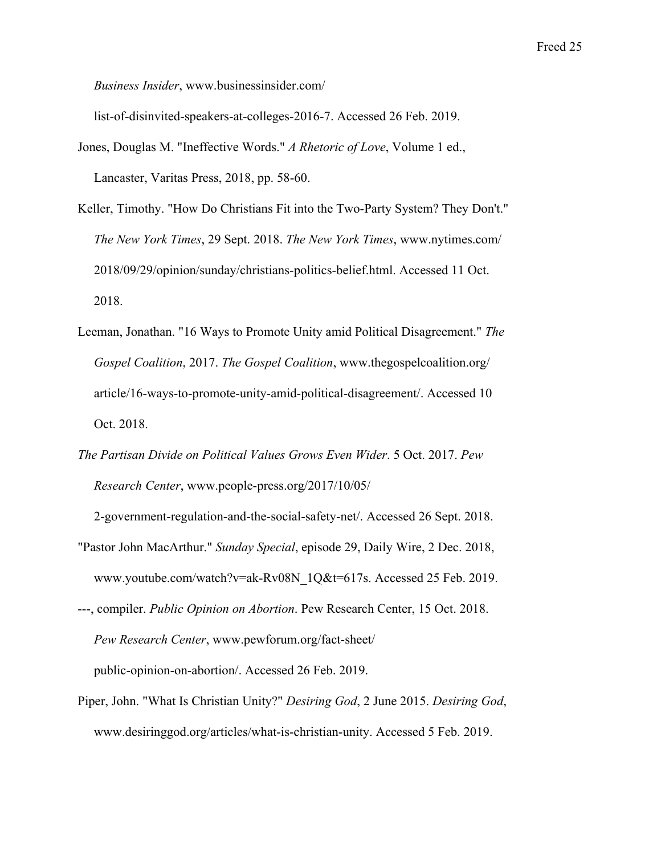*Business Insider*, www.businessinsider.com/

list-of-disinvited-speakers-at-colleges-2016-7. Accessed 26 Feb. 2019.

- Jones, Douglas M. "Ineffective Words." *A Rhetoric of Love*, Volume 1 ed., Lancaster, Varitas Press, 2018, pp. 58-60.
- Keller, Timothy. "How Do Christians Fit into the Two-Party System? They Don't." *The New York Times*, 29 Sept. 2018. *The New York Times*, www.nytimes.com/ 2018/09/29/opinion/sunday/christians-politics-belief.html. Accessed 11 Oct. 2018.
- Leeman, Jonathan. "16 Ways to Promote Unity amid Political Disagreement." *The Gospel Coalition*, 2017. *The Gospel Coalition*, www.thegospelcoalition.org/ article/16-ways-to-promote-unity-amid-political-disagreement/. Accessed 10 Oct. 2018.
- *The Partisan Divide on Political Values Grows Even Wider*. 5 Oct. 2017. *Pew Research Center*, www.people-press.org/2017/10/05/

 2-government-regulation-and-the-social-safety-net/. Accessed 26 Sept. 2018. "Pastor John MacArthur." *Sunday Special*, episode 29, Daily Wire, 2 Dec. 2018, www.youtube.com/watch?v=ak-Rv08N\_1Q&t=617s. Accessed 25 Feb. 2019.

---, compiler. *Public Opinion on Abortion*. Pew Research Center, 15 Oct. 2018.

*Pew Research Center*, www.pewforum.org/fact-sheet/

public-opinion-on-abortion/. Accessed 26 Feb. 2019.

Piper, John. "What Is Christian Unity?" *Desiring God*, 2 June 2015. *Desiring God*, www.desiringgod.org/articles/what-is-christian-unity. Accessed 5 Feb. 2019.